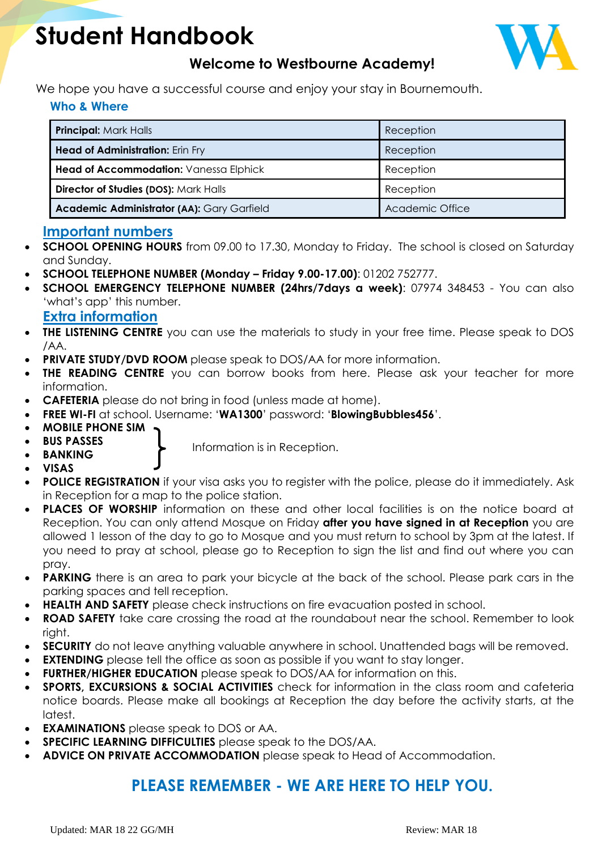# **Student Handbook**



# **Welcome to Westbourne Academy!**

We hope you have a successful course and enjoy your stay in Bournemouth.

### **Who & Where**

| <b>Principal: Mark Halls</b>               | Reception       |
|--------------------------------------------|-----------------|
| <b>Head of Administration: Erin Fry</b>    | Reception       |
| Head of Accommodation: Vanessa Elphick     | Reception       |
| Director of Studies (DOS): Mark Halls      | Reception       |
| Academic Administrator (AA): Gary Garfield | Academic Office |

### **Important numbers**

- **SCHOOL OPENING HOURS** from 09.00 to 17.30, Monday to Friday. The school is closed on Saturday and Sunday.
- **SCHOOL TELEPHONE NUMBER (Monday – Friday 9.00-17.00)**: 01202 752777.
- **SCHOOL EMERGENCY TELEPHONE NUMBER (24hrs/7days a week)**: 07974 348453 You can also 'what's app' this number.

### **Extra information**

- **THE LISTENING CENTRE** you can use the materials to study in your free time. Please speak to DOS /AA.
- **PRIVATE STUDY/DVD ROOM** please speak to DOS/AA for more information.
- **THE READING CENTRE** you can borrow books from here. Please ask your teacher for more information.
- **CAFETERIA** please do not bring in food (unless made at home).
- **FREE WI-FI** at school. Username: '**WA1300**' password: '**BlowingBubbles456**'.
- **MOBILE PHONE SIM**
- **BUS PASSES**
- **BANKING**
- Information is in Reception.
- **VISAS**
- **POLICE REGISTRATION** if your visa asks you to register with the police, please do it immediately. Ask in Reception for a map to the police station.
- **PLACES OF WORSHIP** information on these and other local facilities is on the notice board at Reception. You can only attend Mosque on Friday **after you have signed in at Reception** you are allowed 1 lesson of the day to go to Mosque and you must return to school by 3pm at the latest. If you need to pray at school, please go to Reception to sign the list and find out where you can pray.
- **PARKING** there is an area to park your bicycle at the back of the school. Please park cars in the parking spaces and tell reception.
- **HEALTH AND SAFETY** please check instructions on fire evacuation posted in school.
- **ROAD SAFETY** take care crossing the road at the roundabout near the school. Remember to look right.
- **SECURITY** do not leave anything valuable anywhere in school. Unattended bags will be removed.
- **EXTENDING** please tell the office as soon as possible if you want to stay longer.
- **FURTHER/HIGHER EDUCATION** please speak to DOS/AA for information on this.
- **SPORTS, EXCURSIONS & SOCIAL ACTIVITIES** check for information in the class room and cafeteria notice boards. Please make all bookings at Reception the day before the activity starts, at the latest.
- **EXAMINATIONS** please speak to DOS or AA.
- **SPECIFIC LEARNING DIFFICULTIES** please speak to the DOS/AA.
- **ADVICE ON PRIVATE ACCOMMODATION** please speak to Head of Accommodation.

# **PLEASE REMEMBER - WE ARE HERE TO HELP YOU.**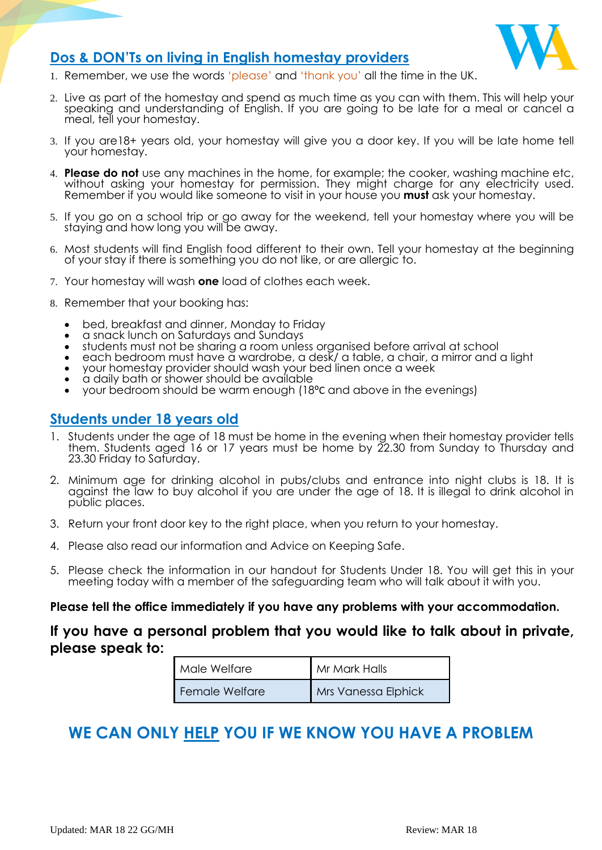

### **Dos & DON'Ts on living in English homestay providers**

- 1. Remember, we use the words 'please' and 'thank you' all the time in the UK.
- 2. Live as part of the homestay and spend as much time as you can with them. This will help your speaking and understanding of English. If you are going to be late for a meal or cancel a meal, tell your homestay.
- 3. If you are18+ years old, your homestay will give you a door key. If you will be late home tell your homestay.
- 4. **Please do not** use any machines in the home, for example; the cooker, washing machine etc, without asking your homestay for permission. They might charge for any electricity used. Remember if you would like someone to visit in your house you **must** ask your homestay.
- 5. If you go on a school trip or go away for the weekend, tell your homestay where you will be staying and how long you will be away.
- 6. Most students will find English food different to their own. Tell your homestay at the beginning of your stay if there is something you do not like, or are allergic to.
- 7. Your homestay will wash **one** load of clothes each week.
- 8. Remember that your booking has:
	- bed, breakfast and dinner, Monday to Friday
	- a snack lunch on Saturdays and Sundays
	- students must not be sharing a room unless organised before arrival at school
	- each bedroom must have a wardrobe, a desk/ a table, a chair, a mirror and a light
	- your homestay provider should wash your bed linen once a week
	- a daily bath or shower should be available
	- your bedroom should be warm enough (18⁰C and above in the evenings)

### **Students under 18 years old**

- 1. Students under the age of 18 must be home in the evening when their homestay provider tells them. Students aged 16 or 17 years must be home by 22.30 from Sunday to Thursday and 23.30 Friday to Saturday.
- 2. Minimum age for drinking alcohol in pubs/clubs and entrance into night clubs is 18. It is against the law to buy alcohol if you are under the age of 18. It is illegal to drink alcohol in public places.
- 3. Return your front door key to the right place, when you return to your homestay.
- 4. Please also read our information and Advice on Keeping Safe.
- 5. Please check the information in our handout for Students Under 18. You will get this in your meeting today with a member of the safeguarding team who will talk about it with you.

# Please tell the office immediately if you have any problems with your accommodation.<br>

### **If you have a personal problem that you would like to talk about in private, please speak to:**

| Male Welfare   | Mr Mark Halls       |
|----------------|---------------------|
| Female Welfare | Mrs Vanessa Elphick |

# **WE CAN ONLY HELP YOU IF WE KNOW YOU HAVE A PROBLEM**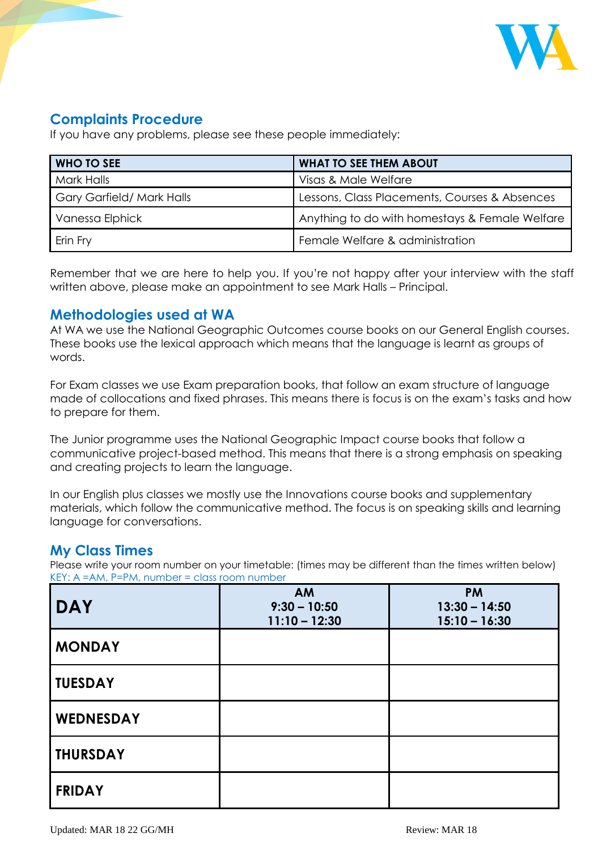

# **Complaints Procedure**

If you have any problems, please see these people immediately:

| <b>WHO TO SEE</b>                | <b>WHAT TO SEE THEM ABOUT</b>                  |  |
|----------------------------------|------------------------------------------------|--|
| <b>Mark Halls</b>                | Visas & Male Welfare                           |  |
| <b>Gary Garfield/ Mark Halls</b> | Lessons, Class Placements, Courses & Absences  |  |
| Vanessa Elphick                  | Anything to do with homestays & Female Welfare |  |
| Erin Fry                         | Female Welfare & administration                |  |

Remember that we are here to help you. If you're not happy after your interview with the staff written above, please make an appointment to see Mark Halls – Principal.

### **Methodologies used at WA**

At WA we use the National Geographic Outcomes course books on our General English courses. These books use the lexical approach which means that the language is learnt as groups of words.

For Exam classes we use Exam preparation books, that follow an exam structure of language made of collocations and fixed phrases. This means there is focus is on the exam's tasks and how to prepare for them.

The Junior programme uses the National Geographic Impact course books that follow a communicative project-based method. This means that there is a strong emphasis on speaking and creating projects to learn the language.

In our English plus classes we mostly use the Innovations course books and supplementary materials, which follow the communicative method. The focus is on speaking skills and learning language for conversations.

### **My Class Times**

Please write your room number on your timetable: (times may be different than the times written below) KEY: A =AM, P=PM, number = class room number

| <b>DAY</b>       | <b>AM</b><br>$9:30 - 10:50$<br>$11:10 - 12:30$ | <b>PM</b><br>$13:30 - 14:50$<br>$15:10 - 16:30$ |
|------------------|------------------------------------------------|-------------------------------------------------|
| <b>MONDAY</b>    |                                                |                                                 |
| <b>TUESDAY</b>   |                                                |                                                 |
| <b>WEDNESDAY</b> |                                                |                                                 |
| <b>THURSDAY</b>  |                                                |                                                 |
| <b>FRIDAY</b>    |                                                |                                                 |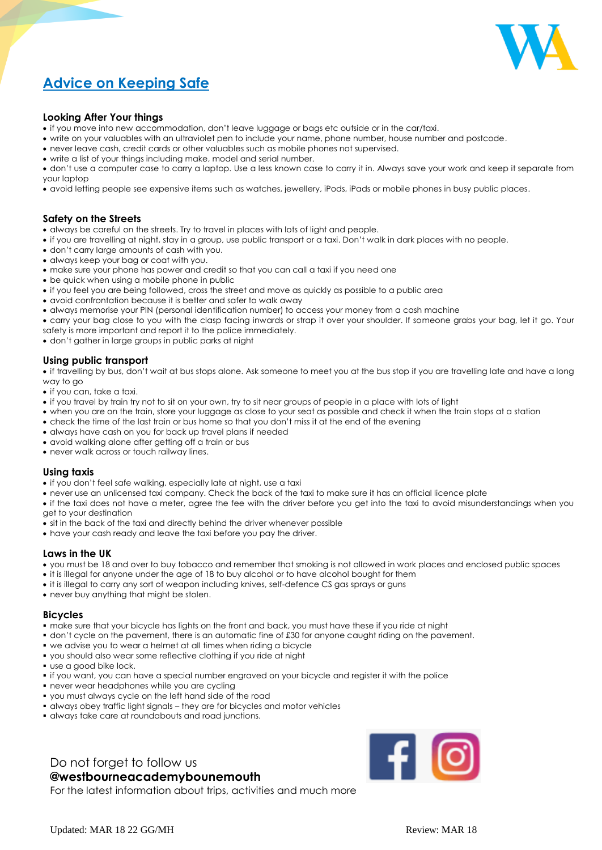

# **Advice on Keeping Safe**

#### **Looking After Your things**

- if you move into new accommodation, don't leave luggage or bags etc outside or in the car/taxi.
- write on your valuables with an ultraviolet pen to include your name, phone number, house number and postcode.
- never leave cash, credit cards or other valuables such as mobile phones not supervised.
- write a list of your things including make, model and serial number.
- don't use a computer case to carry a laptop. Use a less known case to carry it in. Always save your work and keep it separate from your laptop
- avoid letting people see expensive items such as watches, jewellery, iPods, iPads or mobile phones in busy public places.

#### **Safety on the Streets**

- always be careful on the streets. Try to travel in places with lots of light and people.
- if you are travelling at night, stay in a group, use public transport or a taxi. Don't walk in dark places with no people.
- don't carry large amounts of cash with you.
- always keep your bag or coat with you.
- make sure your phone has power and credit so that you can call a taxi if you need one
- be quick when using a mobile phone in public
- if you feel you are being followed, cross the street and move as quickly as possible to a public area
- avoid confrontation because it is better and safer to walk away
- always memorise your PIN (personal identification number) to access your money from a cash machine
- carry your bag close to you with the clasp facing inwards or strap it over your shoulder. If someone grabs your bag, let it go. Your safety is more important and report it to the police immediately.
- don't gather in large groups in public parks at night

#### **Using public transport**

• if travelling by bus, don't wait at bus stops alone. Ask someone to meet you at the bus stop if you are travelling late and have a long way to go

- if you can, take a taxi.
- if you travel by train try not to sit on your own, try to sit near groups of people in a place with lots of light
- when you are on the train, store your luggage as close to your seat as possible and check it when the train stops at a station
- check the time of the last train or bus home so that you don't miss it at the end of the evening
- always have cash on you for back up travel plans if needed
- avoid walking alone after getting off a train or bus
- never walk across or touch railway lines.

#### **Using taxis**

- if you don't feel safe walking, especially late at night, use a taxi
- never use an unlicensed taxi company. Check the back of the taxi to make sure it has an official licence plate
- if the taxi does not have a meter, agree the fee with the driver before you get into the taxi to avoid misunderstandings when you get to your destination
- sit in the back of the taxi and directly behind the driver whenever possible
- have your cash ready and leave the taxi before you pay the driver.

#### **Laws in the UK**

- you must be 18 and over to buy tobacco and remember that smoking is not allowed in work places and enclosed public spaces
- it is illegal for anyone under the age of 18 to buy alcohol or to have alcohol bought for them
- it is illegal to carry any sort of weapon including knives, self-defence CS gas sprays or guns
- never buy anything that might be stolen.

#### **Bicycles**

- make sure that your bicycle has lights on the front and back, you must have these if you ride at night
- don't cycle on the pavement, there is an automatic fine of £30 for anyone caught riding on the pavement.
- we advise you to wear a helmet at all times when riding a bicycle
- you should also wear some reflective clothing if you ride at night
- use a good bike lock.
- if you want, you can have a special number engraved on your bicycle and register it with the police
- never wear headphones while you are cycling
- you must always cycle on the left hand side of the road
- always obey traffic light signals they are for bicycles and motor vehicles
- always take care at roundabouts and road junctions.

# Do not forget to follow us

**@westbourneacademybounemouth**

For the latest information about trips, activities and much more